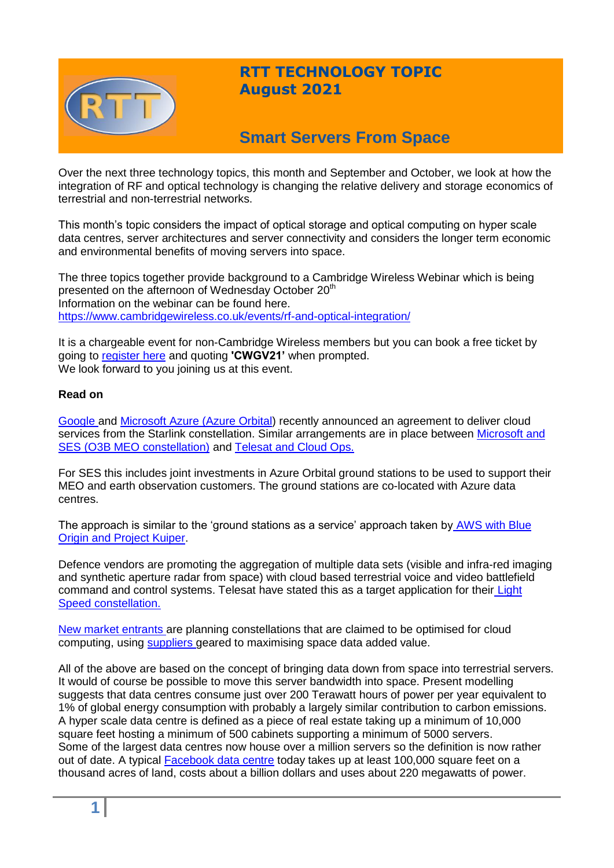

## **RTT TECHNOLOGY TOPIC August 2021**

# **Smart Servers From Space**

Over the next three technology topics, this month and September and October, we look at how the integration of RF and optical technology is changing the relative delivery and storage economics of terrestrial and non-terrestrial networks.

This month's topic considers the impact of optical storage and optical computing on hyper scale data centres, server architectures and server connectivity and considers the longer term economic and environmental benefits of moving servers into space.

The three topics together provide background to a Cambridge Wireless Webinar which is being presented on the afternoon of Wednesday October 20<sup>th</sup> Information on the webinar can be found here. <https://www.cambridgewireless.co.uk/events/rf-and-optical-integration/>

It is a chargeable event for non-Cambridge Wireless members but you can book a free ticket by going to [register here](https://www.cambridgewireless.co.uk/events/rf-and-optical-integration) and quoting **'CWGV21'** when prompted. We look forward to you joining us at this event.

### **Read on**

[Google a](https://cloud.google.com/press-releases/2021/0513/spacex-starlink-google-cloud)nd [Microsoft Azure \(Azure Orbital\)](https://azure.microsoft.com/en-gb/services/orbital/) recently announced an agreement to deliver cloud services from the Starlink constellation. Similar arrangements are in place between Microsoft and [SES \(O3B MEO constellation\)](https://www.ses.com/press-release/ses-becomes-microsoft-azure-orbital-founding-connectivity-partner) and [Telesat and Cloud Ops.](https://www.telesat.com/press/press-releases/telesat-selects-cloudops-to-develop-cloud-infrastructure-for-telesat-lightspeed-leo-network/)

For SES this includes joint investments in Azure Orbital ground stations to be used to support their MEO and earth observation customers. The ground stations are co-located with Azure data centres.

The approach is similar to the 'ground stations as a service' approach taken by [AWS with Blue](https://spectrum.ieee.org/tech-talk/aerospace/satellites/amazons-project-kuiper-is-more-than-the-companys-response-to-spacex)  **[Origin and Project Kuiper.](https://spectrum.ieee.org/tech-talk/aerospace/satellites/amazons-project-kuiper-is-more-than-the-companys-response-to-spacex)** 

Defence vendors are promoting the aggregation of multiple data sets (visible and infra-red imaging and synthetic aperture radar from space) with cloud based terrestrial voice and video battlefield command and control systems. Telesat have stated this as a target application for their [Light](https://www.telesat.com/defence/)  [Speed constellation.](https://www.telesat.com/defence/)

[New market entrants a](http://spacebelt.com/#about)re planning constellations that are claimed to be optimised for cloud computing, using [suppliers g](https://leostella.com/)eared to maximising space data added value.

All of the above are based on the concept of bringing data down from space into terrestrial servers. It would of course be possible to move this server bandwidth into space. Present modelling suggests that data centres consume just over 200 Terawatt hours of power per year equivalent to 1% of global energy consumption with probably a largely similar contribution to carbon emissions. A hyper scale data centre is defined as a piece of real estate taking up a minimum of 10,000 square feet hosting a minimum of 500 cabinets supporting a minimum of 5000 servers. Some of the largest data centres now house over a million servers so the definition is now rather out of date. A typical [Facebook data centre](https://baxtel.com/data-centers/facebook) today takes up at least 100,000 square feet on a thousand acres of land, costs about a billion dollars and uses about 220 megawatts of power.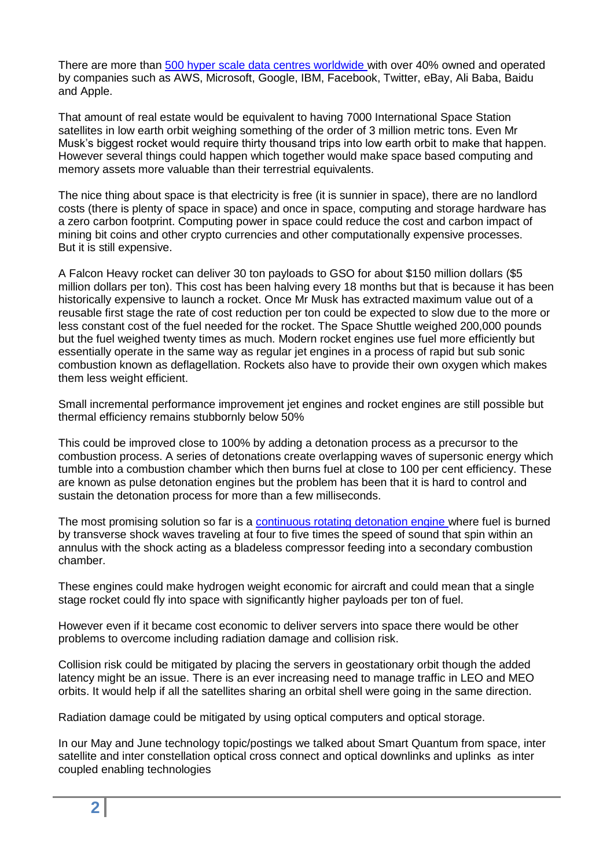There are more than [500 hyper scale data centres worldwide w](https://www.datacenterknowledge.com/cloud/analysts-there-are-now-more-500-hyperscale-data-centers-world)ith over 40% owned and operated by companies such as AWS, Microsoft, Google, IBM, Facebook, Twitter, eBay, Ali Baba, Baidu and Apple.

That amount of real estate would be equivalent to having 7000 International Space Station satellites in low earth orbit weighing something of the order of 3 million metric tons. Even Mr Musk's biggest rocket would require thirty thousand trips into low earth orbit to make that happen. However several things could happen which together would make space based computing and memory assets more valuable than their terrestrial equivalents.

The nice thing about space is that electricity is free (it is sunnier in space), there are no landlord costs (there is plenty of space in space) and once in space, computing and storage hardware has a zero carbon footprint. Computing power in space could reduce the cost and carbon impact of mining bit coins and other crypto currencies and other computationally expensive processes. But it is still expensive.

A Falcon Heavy rocket can deliver 30 ton payloads to GSO for about \$150 million dollars (\$5 million dollars per ton). This cost has been halving every 18 months but that is because it has been historically expensive to launch a rocket. Once Mr Musk has extracted maximum value out of a reusable first stage the rate of cost reduction per ton could be expected to slow due to the more or less constant cost of the fuel needed for the rocket. The Space Shuttle weighed 200,000 pounds but the fuel weighed twenty times as much. Modern rocket engines use fuel more efficiently but essentially operate in the same way as regular jet engines in a process of rapid but sub sonic combustion known as deflagellation. Rockets also have to provide their own oxygen which makes them less weight efficient.

Small incremental performance improvement jet engines and rocket engines are still possible but thermal efficiency remains stubbornly below 50%

This could be improved close to 100% by adding a detonation process as a precursor to the combustion process. A series of detonations create overlapping waves of supersonic energy which tumble into a combustion chamber which then burns fuel at close to 100 per cent efficiency. These are known as pulse detonation engines but the problem has been that it is hard to control and sustain the detonation process for more than a few milliseconds.

The most promising solution so far is a [continuous rotating detonation engine w](https://newatlas.com/space/rotating-detonation-engine-ucf-hydrogen-oxygen/)here fuel is burned by transverse shock waves traveling at four to five times the speed of sound that spin within an annulus with the shock acting as a bladeless compressor feeding into a secondary combustion chamber.

These engines could make hydrogen weight economic for aircraft and could mean that a single stage rocket could fly into space with significantly higher payloads per ton of fuel.

However even if it became cost economic to deliver servers into space there would be other problems to overcome including radiation damage and collision risk.

Collision risk could be mitigated by placing the servers in geostationary orbit though the added latency might be an issue. There is an ever increasing need to manage traffic in LEO and MEO orbits. It would help if all the satellites sharing an orbital shell were going in the same direction.

Radiation damage could be mitigated by using optical computers and optical storage.

In our May and June technology topic/postings we talked about Smart Quantum from space, inter satellite and inter constellation optical cross connect and optical downlinks and uplinks as inter coupled enabling technologies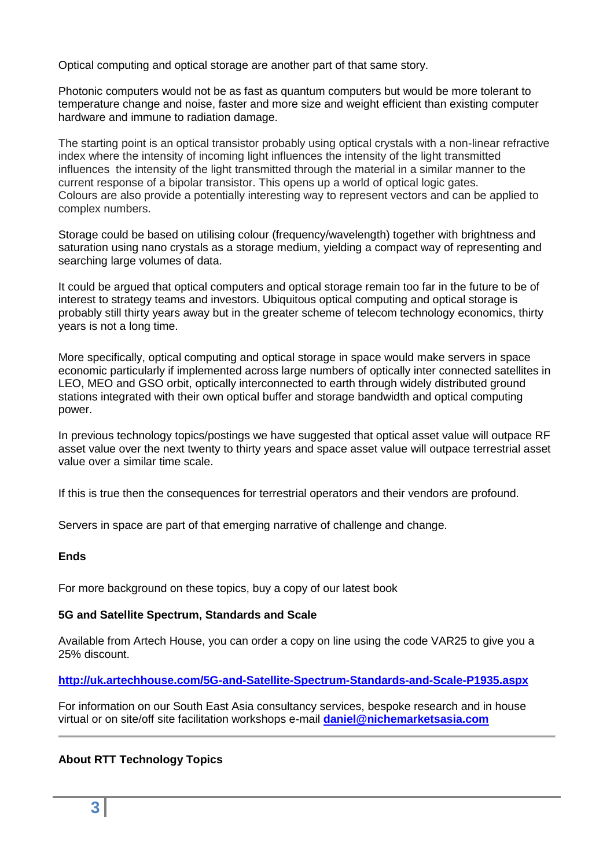Optical computing and optical storage are another part of that same story.

Photonic computers would not be as fast as quantum computers but would be more tolerant to temperature change and noise, faster and more size and weight efficient than existing computer hardware and immune to radiation damage.

The starting point is an optical transistor probably using optical crystals with a non-linear refractive index where the intensity of incoming light influences the intensity of the light transmitted influences the intensity of the light transmitted through the material in a similar manner to the current response of a bipolar transistor. This opens up a world of optical logic gates. Colours are also provide a potentially interesting way to represent vectors and can be applied to complex numbers.

Storage could be based on utilising colour (frequency/wavelength) together with brightness and saturation using nano crystals as a storage medium, yielding a compact way of representing and searching large volumes of data.

It could be argued that optical computers and optical storage remain too far in the future to be of interest to strategy teams and investors. Ubiquitous optical computing and optical storage is probably still thirty years away but in the greater scheme of telecom technology economics, thirty years is not a long time.

More specifically, optical computing and optical storage in space would make servers in space economic particularly if implemented across large numbers of optically inter connected satellites in LEO, MEO and GSO orbit, optically interconnected to earth through widely distributed ground stations integrated with their own optical buffer and storage bandwidth and optical computing power.

In previous technology topics/postings we have suggested that optical asset value will outpace RF asset value over the next twenty to thirty years and space asset value will outpace terrestrial asset value over a similar time scale.

If this is true then the consequences for terrestrial operators and their vendors are profound.

Servers in space are part of that emerging narrative of challenge and change.

### **Ends**

For more background on these topics, buy a copy of our latest book

### **5G and Satellite Spectrum, Standards and Scale**

Available from Artech House, you can order a copy on line using the code VAR25 to give you a 25% discount.

**<http://uk.artechhouse.com/5G-and-Satellite-Spectrum-Standards-and-Scale-P1935.aspx>**

For information on our South East Asia consultancy services, bespoke research and in house virtual or on site/off site facilitation workshops e-mail **[daniel@nichemarketsasia.com](mailto:daniel@nichemarketsasia.com)**

### **About RTT Technology Topics**